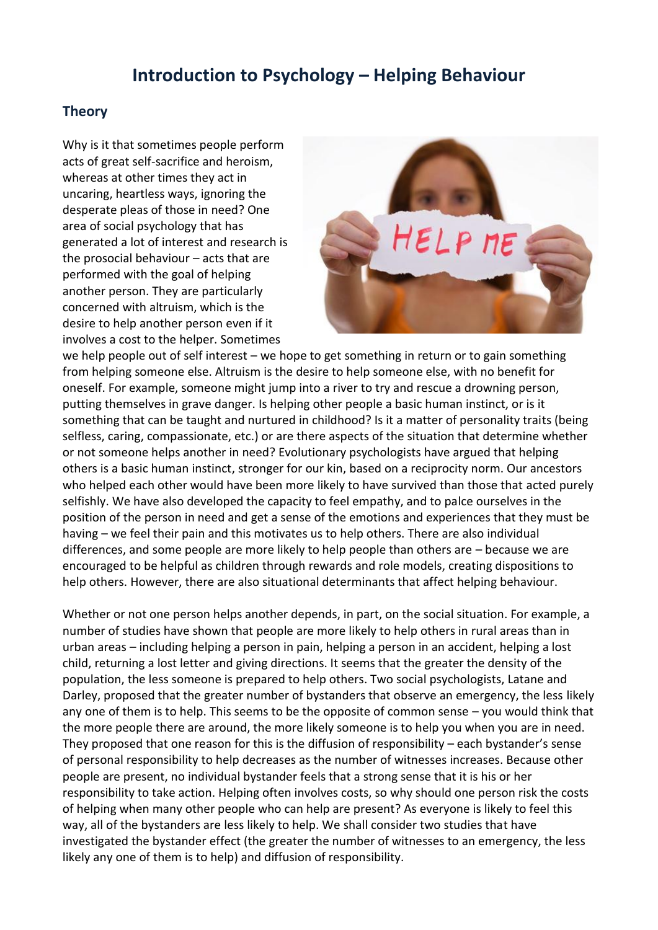## **Introduction to Psychology – Helping Behaviour**

## **Theory**

Why is it that sometimes people perform acts of great self-sacrifice and heroism, whereas at other times they act in uncaring, heartless ways, ignoring the desperate pleas of those in need? One area of social psychology that has generated a lot of interest and research is the prosocial behaviour – acts that are performed with the goal of helping another person. They are particularly concerned with altruism, which is the desire to help another person even if it involves a cost to the helper. Sometimes



we help people out of self interest – we hope to get something in return or to gain something from helping someone else. Altruism is the desire to help someone else, with no benefit for oneself. For example, someone might jump into a river to try and rescue a drowning person, putting themselves in grave danger. Is helping other people a basic human instinct, or is it something that can be taught and nurtured in childhood? Is it a matter of personality traits (being selfless, caring, compassionate, etc.) or are there aspects of the situation that determine whether or not someone helps another in need? Evolutionary psychologists have argued that helping others is a basic human instinct, stronger for our kin, based on a reciprocity norm. Our ancestors who helped each other would have been more likely to have survived than those that acted purely selfishly. We have also developed the capacity to feel empathy, and to palce ourselves in the position of the person in need and get a sense of the emotions and experiences that they must be having – we feel their pain and this motivates us to help others. There are also individual differences, and some people are more likely to help people than others are – because we are encouraged to be helpful as children through rewards and role models, creating dispositions to help others. However, there are also situational determinants that affect helping behaviour.

Whether or not one person helps another depends, in part, on the social situation. For example, a number of studies have shown that people are more likely to help others in rural areas than in urban areas – including helping a person in pain, helping a person in an accident, helping a lost child, returning a lost letter and giving directions. It seems that the greater the density of the population, the less someone is prepared to help others. Two social psychologists, Latane and Darley, proposed that the greater number of bystanders that observe an emergency, the less likely any one of them is to help. This seems to be the opposite of common sense – you would think that the more people there are around, the more likely someone is to help you when you are in need. They proposed that one reason for this is the diffusion of responsibility – each bystander's sense of personal responsibility to help decreases as the number of witnesses increases. Because other people are present, no individual bystander feels that a strong sense that it is his or her responsibility to take action. Helping often involves costs, so why should one person risk the costs of helping when many other people who can help are present? As everyone is likely to feel this way, all of the bystanders are less likely to help. We shall consider two studies that have investigated the bystander effect (the greater the number of witnesses to an emergency, the less likely any one of them is to help) and diffusion of responsibility.